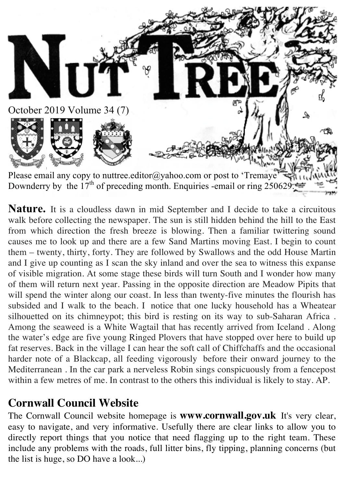

**Nature.** It is a cloudless dawn in mid September and I decide to take a circuitous walk before collecting the newspaper. The sun is still hidden behind the hill to the East from which direction the fresh breeze is blowing. Then a familiar twittering sound causes me to look up and there are a few Sand Martins moving East. I begin to count them – twenty, thirty, forty. They are followed by Swallows and the odd House Martin and I give up counting as I scan the sky inland and over the sea to witness this expanse of visible migration. At some stage these birds will turn South and I wonder how many of them will return next year. Passing in the opposite direction are Meadow Pipits that will spend the winter along our coast. In less than twenty-five minutes the flourish has subsided and I walk to the beach. I notice that one lucky household has a Wheatear silhouetted on its chimneypot; this bird is resting on its way to sub-Saharan Africa . Among the seaweed is a White Wagtail that has recently arrived from Iceland . Along the water's edge are five young Ringed Plovers that have stopped over here to build up fat reserves. Back in the village I can hear the soft call of Chiffchaffs and the occasional harder note of a Blackcap, all feeding vigorously before their onward journey to the Mediterranean . In the car park a nerveless Robin sings conspicuously from a fencepost within a few metres of me. In contrast to the others this individual is likely to stay. AP.

## **Cornwall Council Website**

The Cornwall Council website homepage is **www.cornwall.gov.uk** It's very clear, easy to navigate, and very informative. Usefully there are clear links to allow you to directly report things that you notice that need flagging up to the right team. These include any problems with the roads, full litter bins, fly tipping, planning concerns (but the list is huge, so DO have a look...)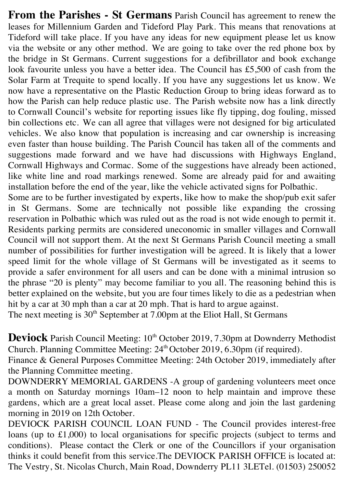**From the Parishes - St Germans** Parish Council has agreement to renew the leases for Millennium Garden and Tideford Play Park. This means that renovations at Tideford will take place. If you have any ideas for new equipment please let us know via the website or any other method. We are going to take over the red phone box by the bridge in St Germans. Current suggestions for a defibrillator and book exchange look favourite unless you have a better idea. The Council has £5,500 of cash from the Solar Farm at Trequite to spend locally. If you have any suggestions let us know. We now have a representative on the Plastic Reduction Group to bring ideas forward as to how the Parish can help reduce plastic use. The Parish website now has a link directly to Cornwall Council's website for reporting issues like fly tipping, dog fouling, missed bin collections etc. We can all agree that villages were not designed for big articulated vehicles. We also know that population is increasing and car ownership is increasing even faster than house building. The Parish Council has taken all of the comments and suggestions made forward and we have had discussions with Highways England, Cornwall Highways and Cormac. Some of the suggestions have already been actioned, like white line and road markings renewed. Some are already paid for and awaiting installation before the end of the year, like the vehicle activated signs for Polbathic.

Some are to be further investigated by experts, like how to make the shop/pub exit safer in St Germans. Some are technically not possible like expanding the crossing reservation in Polbathic which was ruled out as the road is not wide enough to permit it. Residents parking permits are considered uneconomic in smaller villages and Cornwall Council will not support them. At the next St Germans Parish Council meeting a small number of possibilities for further investigation will be agreed. It is likely that a lower speed limit for the whole village of St Germans will be investigated as it seems to provide a safer environment for all users and can be done with a minimal intrusion so the phrase "20 is plenty" may become familiar to you all. The reasoning behind this is better explained on the website, but you are four times likely to die as a pedestrian when hit by a car at 30 mph than a car at 20 mph. That is hard to argue against.

The next meeting is  $30<sup>th</sup>$  September at 7.00pm at the Eliot Hall, St Germans

**Deviock** Parish Council Meeting: 10<sup>th</sup> October 2019, 7.30pm at Downderry Methodist Church. Planning Committee Meeting: 24th October 2019, 6.30pm (if required).

Finance & General Purposes Committee Meeting: 24th October 2019, immediately after the Planning Committee meeting.

DOWNDERRY MEMORIAL GARDENS -A group of gardening volunteers meet once a month on Saturday mornings 10am–12 noon to help maintain and improve these gardens, which are a great local asset. Please come along and join the last gardening morning in 2019 on 12th October.

DEVIOCK PARISH COUNCIL LOAN FUND - The Council provides interest-free loans (up to £1,000) to local organisations for specific projects (subject to terms and conditions). Please contact the Clerk or one of the Councillors if your organisation thinks it could benefit from this service.The DEVIOCK PARISH OFFICE is located at: The Vestry, St. Nicolas Church, Main Road, Downderry PL11 3LETel. (01503) 250052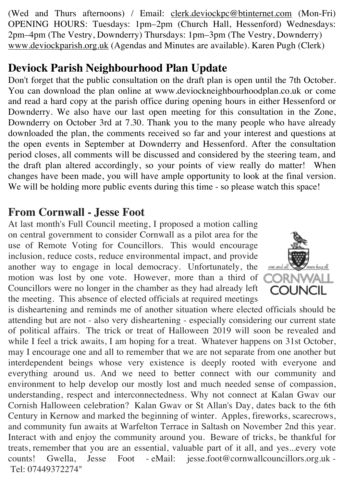(Wed and Thurs afternoons) / Email: clerk.deviockpc@btinternet.com (Mon-Fri) OPENING HOURS: Tuesdays: 1pm–2pm (Church Hall, Hessenford) Wednesdays: 2pm–4pm (The Vestry, Downderry) Thursdays: 1pm–3pm (The Vestry, Downderry) www.deviockparish.org.uk (Agendas and Minutes are available). Karen Pugh (Clerk)

# **Deviock Parish Neighbourhood Plan Update**

Don't forget that the public consultation on the draft plan is open until the 7th October. You can download the plan online at www.deviockneighbourhoodplan.co.uk or come and read a hard copy at the parish office during opening hours in either Hessenford or Downderry. We also have our last open meeting for this consultation in the Zone, Downderry on October 3rd at 7.30. Thank you to the many people who have already downloaded the plan, the comments received so far and your interest and questions at the open events in September at Downderry and Hessenford. After the consultation period closes, all comments will be discussed and considered by the steering team, and the draft plan altered accordingly, so your points of view really do matter! When changes have been made, you will have ample opportunity to look at the final version. We will be holding more public events during this time - so please watch this space!

## **From Cornwall - Jesse Foot**

At last month's Full Council meeting, I proposed a motion calling on central government to consider Cornwall as a pilot area for the use of Remote Voting for Councillors. This would encourage inclusion, reduce costs, reduce environmental impact, and provide another way to engage in local democracy. Unfortunately, the motion was lost by one vote. However, more than a third of Councillors were no longer in the chamber as they had already left the meeting. This absence of elected officials at required meetings



is disheartening and reminds me of another situation where elected officials should be attending but are not - also very disheartening - especially considering our current state of political affairs. The trick or treat of Halloween 2019 will soon be revealed and while I feel a trick awaits, I am hoping for a treat. Whatever happens on 31st October, may I encourage one and all to remember that we are not separate from one another but interdependent beings whose very existence is deeply rooted with everyone and everything around us. And we need to better connect with our community and environment to help develop our mostly lost and much needed sense of compassion, understanding, respect and interconnectedness. Why not connect at Kalan Gwav our Cornish Halloween celebration? Kalan Gwav or St Allan's Day, dates back to the 6th Century in Kernow and marked the beginning of winter. Apples, fireworks, scarecrows, and community fun awaits at Warfelton Terrace in Saltash on November 2nd this year. Interact with and enjoy the community around you. Beware of tricks, be thankful for treats, remember that you are an essential, valuable part of it all, and yes...every vote counts! Gwella, Jesse Foot - eMail: jesse.foot@cornwallcouncillors.org.uk - Tel: 07449372274"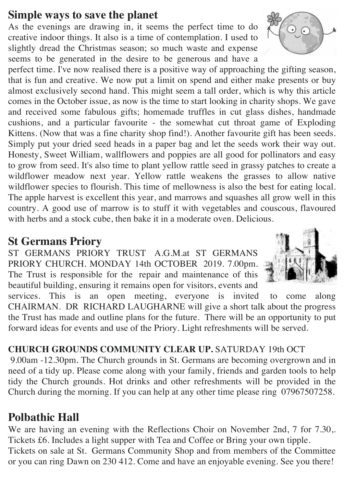#### **Simple ways to save the planet**

As the evenings are drawing in, it seems the perfect time to do creative indoor things. It also is a time of contemplation. I used to slightly dread the Christmas season; so much waste and expense seems to be generated in the desire to be generous and have a

perfect time. I've now realised there is a positive way of approaching the gifting season, that is fun and creative. We now put a limit on spend and either make presents or buy almost exclusively second hand. This might seem a tall order, which is why this article comes in the October issue, as now is the time to start looking in charity shops. We gave and received some fabulous gifts; homemade truffles in cut glass dishes, handmade cushions, and a particular favourite - the somewhat cut throat game of Exploding Kittens. (Now that was a fine charity shop find!). Another favourite gift has been seeds. Simply put your dried seed heads in a paper bag and let the seeds work their way out. Honesty, Sweet William, wallflowers and poppies are all good for pollinators and easy to grow from seed. It's also time to plant yellow rattle seed in grassy patches to create a wildflower meadow next year. Yellow rattle weakens the grasses to allow native wildflower species to flourish. This time of mellowness is also the best for eating local. The apple harvest is excellent this year, and marrows and squashes all grow well in this country. A good use of marrow is to stuff it with vegetables and couscous, flavoured with herbs and a stock cube, then bake it in a moderate oven. Delicious.

#### **St Germans Priory**

ST GERMANS PRIORY TRUST A.G.M.at ST GERMANS PRIORY CHURCH. MONDAY 14th OCTOBER 2019. 7.00pm. The Trust is responsible for the repair and maintenance of this beautiful building, ensuring it remains open for visitors, events and



services. This is an open meeting, everyone is invited to come along CHAIRMAN. DR RICHARD LAUGHARNE will give a short talk about the progress the Trust has made and outline plans for the future. There will be an opportunity to put forward ideas for events and use of the Priory. Light refreshments will be served.

#### **CHURCH GROUNDS COMMUNITY CLEAR UP.** SATURDAY 19th OCT

9.00am -12.30pm. The Church grounds in St. Germans are becoming overgrown and in need of a tidy up. Please come along with your family, friends and garden tools to help tidy the Church grounds. Hot drinks and other refreshments will be provided in the Church during the morning. If you can help at any other time please ring 07967507258.

## **Polbathic Hall**

We are having an evening with the Reflections Choir on November 2nd, 7 for 7.30,. Tickets £6. Includes a light supper with Tea and Coffee or Bring your own tipple. Tickets on sale at St. Germans Community Shop and from members of the Committee or you can ring Dawn on 230 412. Come and have an enjoyable evening. See you there!

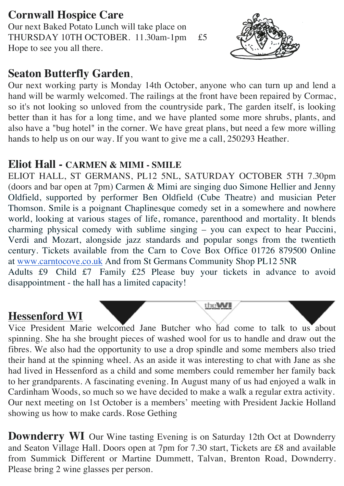## **Cornwall Hospice Care**

Our next Baked Potato Lunch will take place on THURSDAY 10TH OCTOBER. 11.30am-1pm £5 Hope to see you all there.



#### **Seaton Butterfly Garden**,

Our next working party is Monday 14th October, anyone who can turn up and lend a hand will be warmly welcomed. The railings at the front have been repaired by Cormac, so it's not looking so unloved from the countryside park, The garden itself, is looking better than it has for a long time, and we have planted some more shrubs, plants, and also have a "bug hotel" in the corner. We have great plans, but need a few more willing hands to help us on our way. If you want to give me a call, 250293 Heather.

#### **Eliot Hall - CARMEN & MIMI - SMILE**

ELIOT HALL, ST GERMANS, PL12 5NL, SATURDAY OCTOBER 5TH 7.30pm (doors and bar open at 7pm) Carmen & Mimi are singing duo Simone Hellier and Jenny Oldfield, supported by performer Ben Oldfield (Cube Theatre) and musician Peter Thomson. Smile is a poignant Chaplinesque comedy set in a somewhere and nowhere world, looking at various stages of life, romance, parenthood and mortality. It blends charming physical comedy with sublime singing – you can expect to hear Puccini, Verdi and Mozart, alongside jazz standards and popular songs from the twentieth century. Tickets available from the Carn to Cove Box Office 01726 879500 Online at www.carntocove.co.uk And from St Germans Community Shop PL12 5NR Adults £9 Child £7 Family £25 Please buy your tickets in advance to avoid

disappointment - the hall has a limited capacity!

#### **Hessenford WI**

Vice President Marie welcomed Jane Butcher who had come to talk to us about spinning. She ha she brought pieces of washed wool for us to handle and draw out the fibres. We also had the opportunity to use a drop spindle and some members also tried their hand at the spinning wheel. As an aside it was interesting to chat with Jane as she had lived in Hessenford as a child and some members could remember her family back to her grandparents. A fascinating evening. In August many of us had enjoyed a walk in Cardinham Woods, so much so we have decided to make a walk a regular extra activity. Our next meeting on 1st October is a members' meeting with President Jackie Holland showing us how to make cards. Rose Gething

theWI

**Downderry WI** Our Wine tasting Evening is on Saturday 12th Oct at Downderry and Seaton Village Hall. Doors open at 7pm for 7.30 start, Tickets are £8 and available from Summick Different or Martine Dummett, Talvan, Brenton Road, Downderry. Please bring 2 wine glasses per person.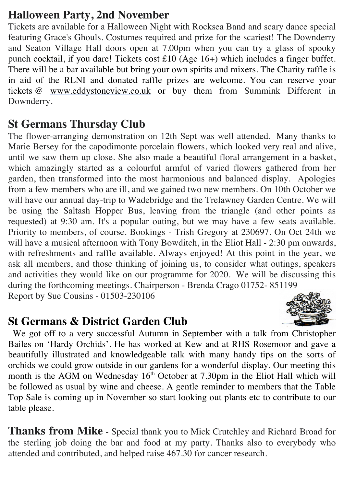## **Halloween Party, 2nd November**

Tickets are available for a Halloween Night with Rocksea Band and scary dance special featuring Grace's Ghouls. Costumes required and prize for the scariest! The Downderry and Seaton Village Hall doors open at 7.00pm when you can try a glass of spooky punch cocktail, if you dare! Tickets cost £10 (Age 16+) which includes a finger buffet. There will be a bar available but bring your own spirits and mixers. The Charity raffle is in aid of the RLNI and donated raffle prizes are welcome. You can reserve your tickets @ www.eddystoneview.co.uk or buy them from Summink Different in Downderry.

#### **St Germans Thursday Club**

The flower-arranging demonstration on 12th Sept was well attended. Many thanks to Marie Bersey for the capodimonte porcelain flowers, which looked very real and alive, until we saw them up close. She also made a beautiful floral arrangement in a basket, which amazingly started as a colourful armful of varied flowers gathered from her garden, then transformed into the most harmonious and balanced display. Apologies from a few members who are ill, and we gained two new members. On 10th October we will have our annual day-trip to Wadebridge and the Trelawney Garden Centre. We will be using the Saltash Hopper Bus, leaving from the triangle (and other points as requested) at 9:30 am. It's a popular outing, but we may have a few seats available. Priority to members, of course. Bookings - Trish Gregory at 230697. On Oct 24th we will have a musical afternoon with Tony Bowditch, in the Eliot Hall - 2:30 pm onwards, with refreshments and raffle available. Always enjoyed! At this point in the year, we ask all members, and those thinking of joining us, to consider what outings, speakers and activities they would like on our programme for 2020. We will be discussing this during the forthcoming meetings. Chairperson - Brenda Crago 01752- 851199 Report by Sue Cousins - 01503-230106

#### **St Germans & District Garden Club**



 We got off to a very successful Autumn in September with a talk from Christopher Bailes on 'Hardy Orchids'. He has worked at Kew and at RHS Rosemoor and gave a beautifully illustrated and knowledgeable talk with many handy tips on the sorts of orchids we could grow outside in our gardens for a wonderful display. Our meeting this month is the AGM on Wednesday  $16<sup>th</sup>$  October at 7.30pm in the Eliot Hall which will be followed as usual by wine and cheese. A gentle reminder to members that the Table Top Sale is coming up in November so start looking out plants etc to contribute to our table please.

**Thanks from Mike** - Special thank you to Mick Crutchley and Richard Broad for the sterling job doing the bar and food at my party. Thanks also to everybody who attended and contributed, and helped raise 467.30 for cancer research.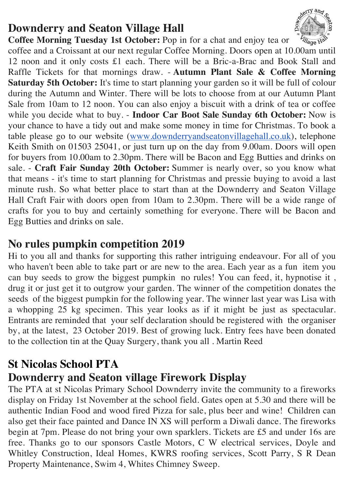# **Downderry and Seaton Village Hall**



**Coffee Morning Tuesday 1st October:** Pop in for a chat and enjoy tea or

coffee and a Croissant at our next regular Coffee Morning. Doors open at 10.00am until 12 noon and it only costs £1 each. There will be a Bric-a-Brac and Book Stall and Raffle Tickets for that mornings draw. - **Autumn Plant Sale & Coffee Morning Saturday 5th October:** It's time to start planning your garden so it will be full of colour during the Autumn and Winter. There will be lots to choose from at our Autumn Plant Sale from 10am to 12 noon. You can also enjoy a biscuit with a drink of tea or coffee while you decide what to buy. - **Indoor Car Boot Sale Sunday 6th October:** Now is your chance to have a tidy out and make some money in time for Christmas. To book a table please go to our website (www.downderryandseatonvillagehall.co.uk), telephone Keith Smith on 01503 25041, or just turn up on the day from 9.00am. Doors will open for buyers from 10.00am to 2.30pm. There will be Bacon and Egg Butties and drinks on sale. - **Craft Fair Sunday 20th October:** Summer is nearly over, so you know what that means - it's time to start planning for Christmas and pressie buying to avoid a last minute rush. So what better place to start than at the Downderry and Seaton Village Hall Craft Fair with doors open from 10am to 2.30pm. There will be a wide range of crafts for you to buy and certainly something for everyone. There will be Bacon and Egg Butties and drinks on sale.

## **No rules pumpkin competition 2019**

Hi to you all and thanks for supporting this rather intriguing endeavour. For all of you who haven't been able to take part or are new to the area. Each year as a fun item you can buy seeds to grow the biggest pumpkin no rules! You can feed, it, hypnotise it , drug it or just get it to outgrow your garden. The winner of the competition donates the seeds of the biggest pumpkin for the following year. The winner last year was Lisa with a whopping 25 kg specimen. This year looks as if it might be just as spectacular. Entrants are reminded that your self declaration should be registered with the organiser by, at the latest, 23 October 2019. Best of growing luck. Entry fees have been donated to the collection tin at the Quay Surgery, thank you all . Martin Reed

## **St Nicolas School PTA**

## **Downderry and Seaton village Firework Display**

The PTA at st Nicolas Primary School Downderry invite the community to a fireworks display on Friday 1st November at the school field. Gates open at 5.30 and there will be authentic Indian Food and wood fired Pizza for sale, plus beer and wine! Children can also get their face painted and Dance IN XS will perform a Diwali dance. The fireworks begin at 7pm. Please do not bring your own sparklers. Tickets are £5 and under 16s are free. Thanks go to our sponsors Castle Motors, C W electrical services, Doyle and Whitley Construction, Ideal Homes, KWRS roofing services, Scott Parry, S R Dean Property Maintenance, Swim 4, Whites Chimney Sweep.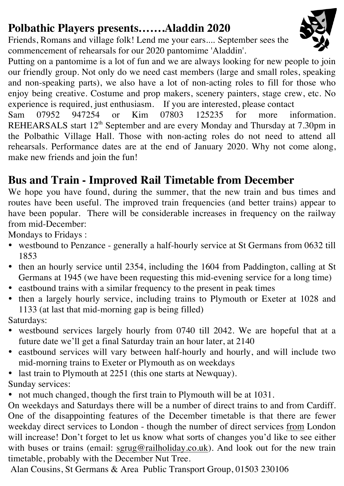# **Polbathic Players presents…….Aladdin 2020**

Friends, Romans and village folk! Lend me your ears.... September sees the commencement of rehearsals for our 2020 pantomime 'Aladdin'.

Putting on a pantomime is a lot of fun and we are always looking for new people to join our friendly group. Not only do we need cast members (large and small roles, speaking and non-speaking parts), we also have a lot of non-acting roles to fill for those who enjoy being creative. Costume and prop makers, scenery painters, stage crew, etc. No experience is required, just enthusiasm. If you are interested, please contact

Sam 07952 947254 or Kim 07803 125235 for more information. REHEARSALS start 12<sup>th</sup> September and are every Monday and Thursday at 7.30pm in the Polbathic Village Hall. Those with non-acting roles do not need to attend all rehearsals. Performance dates are at the end of January 2020. Why not come along, make new friends and join the fun!

# **Bus and Train - Improved Rail Timetable from December**

We hope you have found, during the summer, that the new train and bus times and routes have been useful. The improved train frequencies (and better trains) appear to have been popular. There will be considerable increases in frequency on the railway from mid-December:

Mondays to Fridays :

- westbound to Penzance generally a half-hourly service at St Germans from 0632 till 1853
- then an hourly service until 2354, including the 1604 from Paddington, calling at St Germans at 1945 (we have been requesting this mid-evening service for a long time)
- eastbound trains with a similar frequency to the present in peak times
- then a largely hourly service, including trains to Plymouth or Exeter at 1028 and 1133 (at last that mid-morning gap is being filled)

Saturdays:

- westbound services largely hourly from 0740 till 2042. We are hopeful that at a future date we'll get a final Saturday train an hour later, at 2140
- eastbound services will vary between half-hourly and hourly, and will include two mid-morning trains to Exeter or Plymouth as on weekdays
- last train to Plymouth at 2251 (this one starts at Newquay). Sunday services:
- not much changed, though the first train to Plymouth will be at 1031.

On weekdays and Saturdays there will be a number of direct trains to and from Cardiff. One of the disappointing features of the December timetable is that there are fewer weekday direct services to London - though the number of direct services from London will increase! Don't forget to let us know what sorts of changes you'd like to see either with buses or trains (email: sgrug@railholiday.co.uk). And look out for the new train timetable, probably with the December Nut Tree.

Alan Cousins, St Germans & Area Public Transport Group, 01503 230106

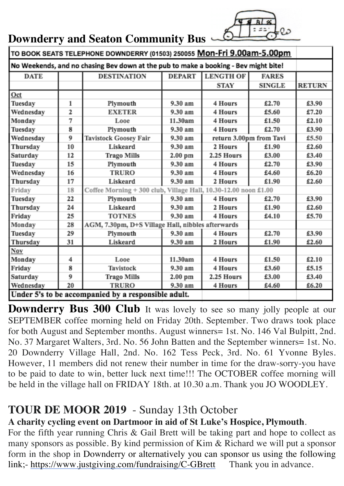|  | Downderry and Seaton Community Bus - |  |
|--|--------------------------------------|--|
|  |                                      |  |

| TO BOOK SEATS TELEPHONE DOWNDERRY (01503) 250055 Mon-Fri 9.00am-5.00pm              |    |                                                                 |               |                         |               |               |  |
|-------------------------------------------------------------------------------------|----|-----------------------------------------------------------------|---------------|-------------------------|---------------|---------------|--|
| No Weekends, and no chasing Bev down at the pub to make a booking - Bev might bite! |    |                                                                 |               |                         |               |               |  |
| <b>DATE</b>                                                                         |    | <b>DESTINATION</b>                                              | <b>DEPART</b> | <b>LENGTH OF</b>        | <b>FARES</b>  |               |  |
|                                                                                     |    |                                                                 |               | <b>STAY</b>             | <b>SINGLE</b> | <b>RETURN</b> |  |
| Oct                                                                                 |    |                                                                 |               |                         |               |               |  |
| Tuesday                                                                             | 1  | Plymouth                                                        | 9.30 am       | 4 Hours                 | £2.70         | £3.90         |  |
| Wednesday                                                                           | 2  | <b>EXETER</b>                                                   | 9.30 am       | 4 Hours                 | £5.60         | £7.20         |  |
| Monday                                                                              | 7  | Looe                                                            | 11.30am       | 4 Hours                 | £1.50         | £2.10         |  |
| Tuesday                                                                             | 8  | Plymouth                                                        | 9.30 am       | 4 Hours                 | £2.70         | £3.90         |  |
| Wednesday                                                                           | 9  | Tavistock Goosey Fair                                           | 9.30 am       | return 3.00pm from Tavi |               | £5.50         |  |
| Thursday                                                                            | 10 | Liskeard                                                        | 9.30 am       | 2 Hours                 | £1.90         | £2.60         |  |
| Saturday                                                                            | 12 | <b>Trago Mills</b>                                              | $2.00$ pm     | 2.25 Hours              | £3.00         | £3.40         |  |
| Tuesday                                                                             | 15 | Plymouth                                                        | 9.30 am       | 4 Hours                 | £2.70         | £3.90         |  |
| Wednesday                                                                           | 16 | <b>TRURO</b>                                                    | 9.30 am       | 4 Hours                 | £4.60         | £6.20         |  |
| Thursday                                                                            | 17 | Liskeard                                                        | 9.30 am       | 2 Hours                 | £1.90         | £2.60         |  |
| Friday                                                                              | 18 | Coffee Morning + 300 club, Village Hall, 10.30-12.00 noon £1.00 |               |                         |               |               |  |
| Tuesday                                                                             | 22 | Plymouth                                                        | 9.30 am       | 4 Hours                 | £2.70         | £3.90         |  |
| Thursday                                                                            | 24 | Liskeard                                                        | 9.30 am       | 2 Hours                 | £1.90         | £2.60         |  |
| Friday                                                                              | 25 | <b>TOTNES</b>                                                   | 9.30 am       | 4 Hours                 | £4.10         | £5.70         |  |
| Monday                                                                              | 28 | AGM, 7.30pm, D+S Village Hall, nibbles afterwards               |               |                         |               |               |  |
| Tuesday                                                                             | 29 | Plymouth                                                        | 9.30 am       | 4 Hours                 | £2.70         | £3.90         |  |
| Thursday                                                                            | 31 | Liskeard                                                        | 9.30 am       | 2 Hours                 | £1.90         | £2.60         |  |
| Nov                                                                                 |    |                                                                 |               |                         |               |               |  |
| Monday                                                                              | 4  | Looe                                                            | 11.30am       | 4 Hours                 | £1.50         | £2.10         |  |
| Friday                                                                              | 8  | Tavistock                                                       | 9.30 am       | 4 Hours                 | £3.60         | £5.15         |  |
| Saturday                                                                            | 9  | <b>Trago Mills</b>                                              | $2.00$ pm     | 2.25 Hours              | £3.00         | £3.40         |  |
| Wednesday                                                                           | 20 | <b>TRURO</b>                                                    | 9.30 am       | 4 Hours                 | £4.60         | £6.20         |  |
|                                                                                     |    | Under 5's to be accompanied by a responsible adult.             |               |                         |               |               |  |

**Downderry Bus 300 Club** It was lovely to see so many jolly people at our SEPTEMBER coffee morning held on Friday 20th. September. Two draws took place for both August and September months. August winners= 1st. No. 146 Val Bulpitt, 2nd. No. 37 Margaret Walters, 3rd. No. 56 John Batten and the September winners= 1st. No. 20 Downderry Village Hall, 2nd. No. 162 Tess Peck, 3rd. No. 61 Yvonne Byles. However, 11 members did not renew their number in time for the draw-sorry-you have to be paid to date to win, better luck next time!!! The OCTOBER coffee morning will be held in the village hall on FRIDAY 18th. at 10.30 a.m. Thank you JO WOODLEY.

#### **TOUR DE MOOR 2019** - Sunday 13th October

#### **A charity cycling event on Dartmoor in aid of St Luke's Hospice, Plymouth**.

For the fifth year running Chris & Gail Brett will be taking part and hope to collect as many sponsors as possible. By kind permission of Kim & Richard we will put a sponsor form in the shop in Downderry or alternatively you can sponsor us using the following link;- https://www.justgiving.com/fundraising/C-GBrett Thank you in advance.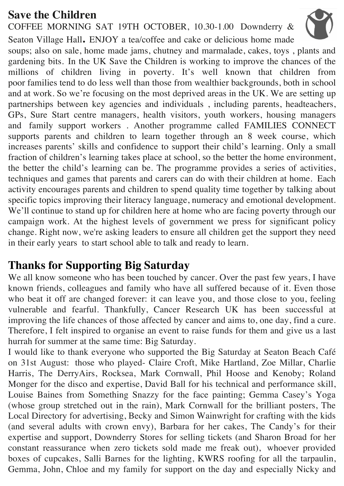# **Save the Children**

COFFEE MORNING SAT 19TH OCTOBER, 10.30-1.00 Downderry &

Seaton Village Hall**.** ENJOY a tea/coffee and cake or delicious home made soups; also on sale, home made jams, chutney and marmalade, cakes, toys , plants and gardening bits. In the UK Save the Children is working to improve the chances of the millions of children living in poverty. It's well known that children from poor families tend to do less well than those from wealthier backgrounds, both in school and at work. So we're focusing on the most deprived areas in the UK. We are setting up partnerships between key agencies and individuals , including parents, headteachers, GPs, Sure Start centre managers, health visitors, youth workers, housing managers and family support workers . Another programme called FAMILIES CONNECT supports parents and children to learn together through an 8 week course, which increases parents' skills and confidence to support their child's learning. Only a small fraction of children's learning takes place at school, so the better the home environment, the better the child's learning can be. The programme provides a series of activities, techniques and games that parents and carers can do with their children at home. Each activity encourages parents and children to spend quality time together by talking about specific topics improving their literacy language, numeracy and emotional development. We'll continue to stand up for children here at home who are facing poverty through our campaign work. At the highest levels of government we press for significant policy change. Right now, we're asking leaders to ensure all children get the support they need in their early years to start school able to talk and ready to learn.

## **Thanks for Supporting Big Saturday**

We all know someone who has been touched by cancer. Over the past few years, I have known friends, colleagues and family who have all suffered because of it. Even those who beat it off are changed forever: it can leave you, and those close to you, feeling vulnerable and fearful. Thankfully, Cancer Research UK has been successful at improving the life chances of those affected by cancer and aims to, one day, find a cure. Therefore, I felt inspired to organise an event to raise funds for them and give us a last hurrah for summer at the same time: Big Saturday.

I would like to thank everyone who supported the Big Saturday at Seaton Beach Café on 31st August: those who played- Claire Croft, Mike Hartland, Zoe Millar, Charlie Harris, The DerryAirs, Rocksea, Mark Cornwall, Phil Hoose and Kenoby; Roland Monger for the disco and expertise, David Ball for his technical and performance skill, Louise Baines from Something Snazzy for the face painting; Gemma Casey's Yoga (whose group stretched out in the rain), Mark Cornwall for the brilliant posters, The Local Directory for advertising, Becky and Simon Wainwright for crafting with the kids (and several adults with crown envy), Barbara for her cakes, The Candy's for their expertise and support, Downderry Stores for selling tickets (and Sharon Broad for her constant reassurance when zero tickets sold made me freak out), whoever provided boxes of cupcakes, Salli Barnes for the lighting, KWRS roofing for all the tarpaulin, Gemma, John, Chloe and my family for support on the day and especially Nicky and

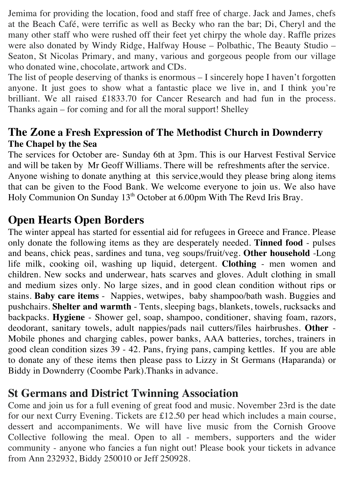Jemima for providing the location, food and staff free of charge. Jack and James, chefs at the Beach Café, were terrific as well as Becky who ran the bar; Di, Cheryl and the many other staff who were rushed off their feet yet chirpy the whole day. Raffle prizes were also donated by Windy Ridge, Halfway House – Polbathic, The Beauty Studio – Seaton, St Nicolas Primary, and many, various and gorgeous people from our village who donated wine, chocolate, artwork and CDs.

The list of people deserving of thanks is enormous – I sincerely hope I haven't forgotten anyone. It just goes to show what a fantastic place we live in, and I think you're brilliant. We all raised £1833.70 for Cancer Research and had fun in the process. Thanks again – for coming and for all the moral support! Shelley

#### **The Zone a Fresh Expression of The Methodist Church in Downderry The Chapel by the Sea**

The services for October are- Sunday 6th at 3pm. This is our Harvest Festival Service and will be taken by Mr Geoff Williams. There will be refreshments after the service. Anyone wishing to donate anything at this service,would they please bring along items that can be given to the Food Bank. We welcome everyone to join us. We also have Holy Communion On Sunday 13<sup>th</sup> October at 6.00pm With The Revd Iris Bray.

## **Open Hearts Open Borders**

The winter appeal has started for essential aid for refugees in Greece and France. Please only donate the following items as they are desperately needed. **Tinned food** - pulses and beans, chick peas, sardines and tuna, veg soups/fruit/veg. **Other household** -Long life milk, cooking oil, washing up liquid, detergent. **Clothing** - men women and children. New socks and underwear, hats scarves and gloves. Adult clothing in small and medium sizes only. No large sizes, and in good clean condition without rips or stains. **Baby care items** - Nappies, wetwipes, baby shampoo/bath wash. Buggies and pushchairs. **Shelter and warmth** - Tents, sleeping bags, blankets, towels, rucksacks and backpacks. **Hygiene** - Shower gel, soap, shampoo, conditioner, shaving foam, razors, deodorant, sanitary towels, adult nappies/pads nail cutters/files hairbrushes. **Other** - Mobile phones and charging cables, power banks, AAA batteries, torches, trainers in good clean condition sizes 39 - 42. Pans, frying pans, camping kettles. If you are able to donate any of these items then please pass to Lizzy in St Germans (Haparanda) or Biddy in Downderry (Coombe Park).Thanks in advance.

## **St Germans and District Twinning Association**

Come and join us for a full evening of great food and music. November 23rd is the date for our next Curry Evening. Tickets are £12.50 per head which includes a main course, dessert and accompaniments. We will have live music from the Cornish Groove Collective following the meal. Open to all - members, supporters and the wider community - anyone who fancies a fun night out! Please book your tickets in advance from Ann 232932, Biddy 250010 or Jeff 250928.